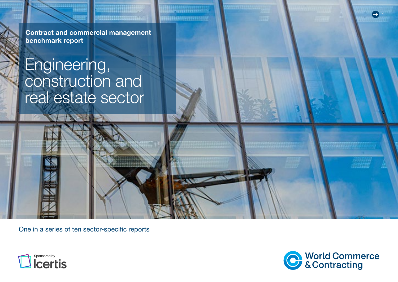Contract and commercial management benchmark report

# Engineering, construction and real estate sector

One in a series of ten sector-specific reports





1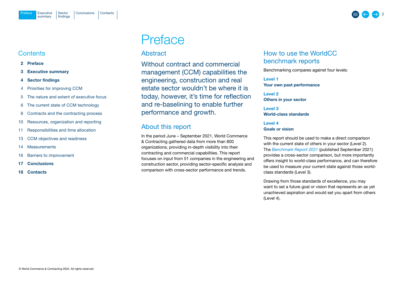## <span id="page-1-0"></span>**Contents**

- 2 Preface
- 3 [Executive summary](#page-2-0)
- 4 [Sector findings](#page-3-0)
- 4 [Priorities for improving CCM](#page-3-0)
- 5 [The nature and extent of executive focus](#page-4-0)
- 6 [The current state of CCM technology](#page-5-0)
- 8 [Contracts and the contracting process](#page-7-0)
- 10 [Resources, organization and reporting](#page-9-0)
- 11 [Responsibilities and time allocation](#page-10-0)
- 13 [CCM objectives](#page-12-0) and readiness
- 14 [Measurements](#page-13-0)
- 16 [Barriers to improvement](#page-15-0)
- 17 [Conclusions](#page-16-0)
- 18 [Contacts](#page-17-0)

# **Preface**

## Abstract

Without contract and commercial management (CCM) capabilities the engineering, construction and real estate sector wouldn't be where it is today, however, it's time for reflection and re-baselining to enable further performance and growth.

## About this report

In the period June – September 2021, World Commerce & Contracting gathered data from more than 800 organizations, providing in-depth visibility into their contracting and commercial capabilities. This report focuses on input from 51 companies in the engineering and construction sector, providing sector-specific analysis and comparison with cross-sector performance and trends.

## How to use the WorldCC benchmark reports

Benchmarking compares against four levels:

Level 1 Your own past performance

Level 2 Others in your sector

Level 3 World-class standards

## Level 4 Goals or vision

This report should be used to make a direct comparison with the current state of others in your sector (Level 2). The *[Benchmark Report](https://www.worldcc.com/Portals/IACCM/Resources/WorldCC-Benchmark-report-2021.pdf?ver=NPQMEljK4Q-meXZLABtd2w%3d%3d) 2021* (published September 2021) provides a cross-sector comparison, but more importantly offers insight to world-class performance, and can therefore be used to measure your current state against those worldclass standards (Level 3).

Drawing from those standards of excellence, you may want to set a future goal or vision that represents an as yet unachieved aspiration and would set you apart from others (Level 4).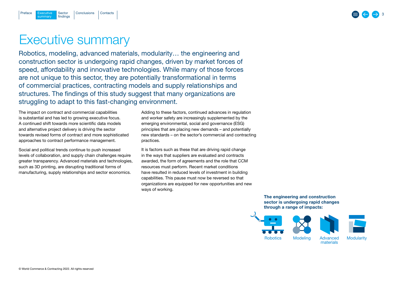## 3

# <span id="page-2-0"></span>Executive summary

Robotics, modeling, advanced materials, modularity… the engineering and construction sector is undergoing rapid changes, driven by market forces of speed, affordability and innovative technologies. While many of those forces are not unique to this sector, they are potentially transformational in terms of commercial practices, contracting models and supply relationships and structures. The findings of this study suggest that many organizations are struggling to adapt to this fast-changing environment.

The impact on contract and commercial capabilities is substantial and has led to growing executive focus. A continued shift towards more scientific data models and alternative project delivery is driving the sector towards revised forms of contract and more sophisticated approaches to contract performance management.

Social and political trends continue to push increased levels of collaboration, and supply chain challenges require greater transparency. Advanced materials and technologies, such as 3D printing, are disrupting traditional forms of manufacturing, supply relationships and sector economics.

Adding to these factors, continued advances in regulation and worker safety are increasingly supplemented by the emerging environmental, social and governance (ESG) principles that are placing new demands – and potentially new standards – on the sector's commercial and contracting practices.

It is factors such as these that are driving rapid change in the ways that suppliers are evaluated and contracts awarded, the form of agreements and the role that CCM resources must perform. Recent market conditions have resulted in reduced levels of investment in building capabilities. This pause must now be reversed so that organizations are equipped for new opportunities and new ways of working.

> The engineering and construction sector is undergoing rapid changes through a range of impacts:

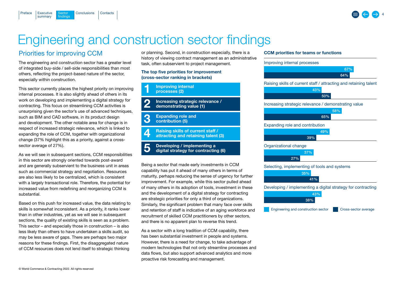

## Engineering and construction sector findings

## Priorities for improving CCM

**Sector** findings

summary

<span id="page-3-0"></span>[Preface](#page-1-0)

The engineering and construction sector has a greater level of integrated buy-side / sell-side responsibilities than most others, reflecting the project-based nature of the sector, especially within construction.

[Executive](#page-2-0) Sector [Conclusions](#page-16-0) [Contacts](#page-17-0)

This sector currently places the highest priority on improving internal processes. It is also slightly ahead of others in its work on developing and implementing a digital strategy for contracting. This focus on streamlining CCM activities is unsurprising given the sector's use of advanced techniques, such as BIM and CAD software, in its product design and development. The other notable area for change is in respect of increased strategic relevance, which is linked to expanding the role of CCM, together with organizational change (37% highlight this as a priority, against a crosssector average of 27%).

As we will see in subsequent sections, CCM responsibilities in this sector are strongly oriented towards post-award and are generally subservient to the business unit in areas such as commercial strategy and negotiation. Resources are also less likely to be centralized, which is consistent with a largely transactional role. Therefore, the potential for increased value from redefining and reorganizing CCM is substantial.

Based on this push for increased value, the data relating to skills is somewhat inconsistent. As a priority, it ranks lower than in other industries, yet as we will see in subsequent sections, the quality of existing skills is seen as a problem. This sector – and especially those in construction – is also less likely than others to have undertaken a skills audit, so may be less aware of gaps. There are perhaps two major reasons for these findings. First, the disaggregated nature of CCM resources does not lend itself to strategic thinking

or planning. Second, in construction especially, there is a history of viewing contract management as an administrative task, often subservient to project management.

## The top five priorities for improvement (cross-sector ranking in brackets)



Being a sector that made early investments in CCM capability has put it ahead of many others in terms of maturity, perhaps reducing the sense of urgency for further improvement. For example, while this sector pulled ahead of many others in its adoption of tools, investment in these and the development of a digital strategy for contracting are strategic priorities for only a third of organizations. Similarly, the significant problem that many face over skills and retention of staff is indicative of an aging workforce and recruitment of skilled CCM practitioners by other sectors, and there is no apparent plan to reverse this trend.

As a sector with a long tradition of CCM capability, there has been substantial investment in people and systems. However, there is a need for change, to take advantage of modern technologies that not only streamline processes and data flows, but also support advanced analytics and more proactive risk forecasting and management.

## CCM priorities for teams or functions

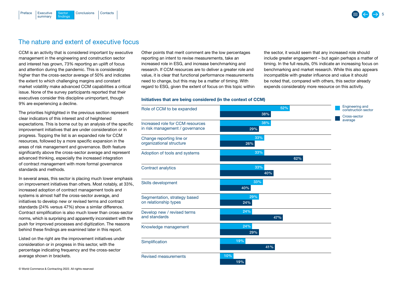the sector, it would seem that any increased role should include greater engagement – but again perhaps a matter of timing. In the full results, 0% indicate an increasing focus on benchmarking and market research. While this also appears incompatible with greater influence and value it should be noted that, compared with others, this sector already expends considerably more resource on this activity.

## The nature and extent of executive focus

[Executive](#page-2-0) Sector [Conclusions](#page-16-0) [Contacts](#page-17-0)

**Sector** findings

summary

<span id="page-4-0"></span>[Preface](#page-1-0)

CCM is an activity that is considered important by executive management in the engineering and construction sector and interest has grown, 73% reporting an uplift of focus and attention during the pandemic. This is considerably higher than the cross-sector average of 50% and indicates the extent to which challenging margins and constant market volatility make advanced CCM capabilities a critical issue. None of the survey participants reported that their executives consider this discipline unimportant, though 9% are experiencing a decline.

The priorities highlighted in the previous section represent clear indicators of this interest and of heightened expectations. This is borne out by an analysis of the specific improvement initiatives that are under consideration or in progress. Topping the list is an expanded role for CCM resources, followed by a more specific expansion in the areas of risk management and governance. Both feature significantly above the cross-sector average and represent advanced thinking, especially the increased integration of contract management with more formal governance standards and methods.

In several areas, this sector is placing much lower emphasis on improvement initiatives than others. Most notably, at 33%, increased adoption of contract management tools and systems is almost half the cross-sector average, and initiatives to develop new or revised terms and contract standards (24% versus 47%) show a similar difference. Contract simplification is also much lower than cross-sector norms, which is surprising and apparently inconsistent with the push for improved processes and digitization. The reasons behind these findings are examined later in this report.

Listed on the right are the improvement initiatives under consideration or in progress in this sector, with the percentage indicating frequency and the cross-sector average shown in brackets.

Other points that merit comment are the low percentages reporting an intent to revise measurements, take an increased role in ESG, and increase benchmarking and research. If CCM resources are to deliver a greater role and value, it is clear that functional performance measurements need to change, but this may be a matter of timing. With regard to ESG, given the extent of focus on this topic within

## Initiatives that are being considered (in the context of CCM)

52% 38% Role of CCM to be expanded 38% 29% Increased role for CCM resources in risk management / governance Change reporting line or organizational structure Adoption of tools and systems Contract analytics 33% 26% 33% 62% 33% 40% 33% 40% Skills development Segmentation, strategy based on relationship types 29% 24% Develop new / revised terms and standards 24% 47% Knowledge management 24% 29% Simplification 19% 41% Revised measurements 10% 19% Engineering and construction sector Cross-sector average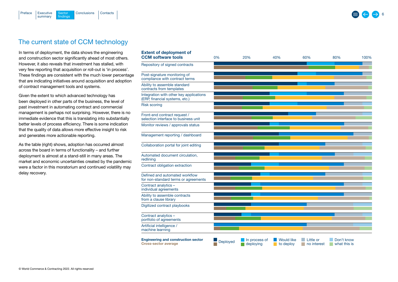<span id="page-5-0"></span>

## The current state of CCM technology

In terms of deployment, the data shows the engineering and construction sector significantly ahead of most others. However, it also reveals that investment has stalled, with very few reporting that acquisition or roll-out is 'in process'. These findings are consistent with the much lower percentage that are indicating initiatives around acquisition and adoption of contract management tools and systems.

Given the extent to which advanced technology has been deployed in other parts of the business, the level of past investment in automating contract and commercial management is perhaps not surprising. However, there is no immediate evidence that this is translating into substantially better levels of process efficiency. There is some indication that the quality of data allows more effective insight to risk and generates more actionable reporting.

As the table (right) shows, adoption has occurred almost across the board in terms of functionality – and further deployment is almost at a stand-still in many areas. The market and economic uncertainties created by the pandemic were a factor in this moratorium and continued volatility may delay recovery.

| <b>Extent of deployment of</b><br><b>CCM software tools</b>               | 0%              | 20%                        | 40%                                  | 60%                      | 80%                                          | 100% |
|---------------------------------------------------------------------------|-----------------|----------------------------|--------------------------------------|--------------------------|----------------------------------------------|------|
| Repository of signed contracts                                            |                 |                            |                                      |                          |                                              |      |
| Post-signature monitoring of<br>compliance with contract terms            |                 |                            |                                      |                          |                                              |      |
| Ability to assemble standard<br>contracts from templates                  |                 |                            |                                      |                          |                                              |      |
| Integration with other key applications<br>(ERP, financial systems, etc.) |                 |                            |                                      |                          |                                              |      |
| <b>Risk scoring</b>                                                       |                 |                            |                                      |                          |                                              |      |
| Front-end contract request /<br>selection interface to business unit      |                 |                            |                                      |                          |                                              |      |
| Monitor reviews / approvals status                                        |                 |                            |                                      |                          |                                              |      |
| Management reporting / dashboard                                          |                 |                            |                                      |                          |                                              |      |
| Collaboration portal for joint editing                                    |                 |                            |                                      |                          |                                              |      |
| Automated document circulation,<br>redlining                              |                 |                            |                                      |                          |                                              |      |
| Contract obligation extraction                                            |                 |                            |                                      |                          |                                              |      |
| Defined and automated workflow<br>for non-standard terms or agreements    |                 |                            |                                      |                          |                                              |      |
| Contract analytics -<br>individual agreements                             |                 |                            |                                      |                          |                                              |      |
| Ability to assemble contracts<br>from a clause library                    |                 |                            |                                      |                          |                                              |      |
| Digitized contract playbooks                                              |                 |                            |                                      |                          |                                              |      |
| Contract analytics -<br>portfolio of agreements                           |                 |                            |                                      |                          |                                              |      |
| Artificial intelligence /<br>machine learning                             |                 |                            |                                      |                          |                                              |      |
| <b>Engineering and construction sector</b><br><b>Cross-sector average</b> | <b>Deployed</b> | In process of<br>deploying | <b>Would like</b><br>to deploy<br>L. | Little or<br>no interest | Don't know<br>what this is<br><b>College</b> |      |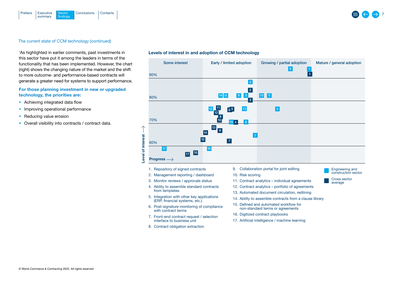

### The current state of CCM technology (continued)

'As highlighted in earlier comments, past investments in this sector have put it among the leaders in terms of the functionality that has been implemented. However, the chart (right) shows the changing nature of the market and the shift to more outcome- and performance-based contracts will generate a greater need for systems to support performance.

## For those planning investment in new or upgraded technology, the priorities are:

- Achieving integrated data flow
- Improving operational performance
- Reducing value erosion
- Overall visibility into contracts / contract data.

#### Levels of interest in and adoption of CCM technology

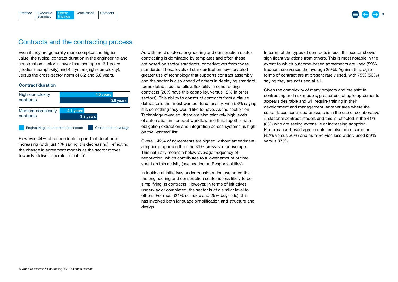## Contracts and the contracting process

[Executive](#page-2-0) Sector [Conclusions](#page-16-0) [Contacts](#page-17-0)

**Sector** findings

Even if they are generally more complex and higher value, the typical contract duration in the engineering and construction sector is lower than average at 2.1 years (medium-complexity) and 4.5 years (high-complexity), versus the cross-sector norm of 3.2 and 5.8 years.

### Contract duration

summary

<span id="page-7-0"></span>[Preface](#page-1-0)

| High-complexity                     | 4.5 years |                      |  |  |
|-------------------------------------|-----------|----------------------|--|--|
| contracts                           | 5.8 years |                      |  |  |
| Medium-complexity                   | 2.1 years |                      |  |  |
| contracts                           | 3.2 years |                      |  |  |
| Engineering and construction sector |           | Cross-sector average |  |  |

However, 44% of respondents report that duration is increasing (with just 4% saying it is decreasing), reflecting the change in agreement models as the sector moves towards 'deliver, operate, maintain'.

As with most sectors, engineering and construction sector contracting is dominated by templates and often these are based on sector standards, or derivatives from those standards. These levels of standardization have enabled greater use of technology that supports contract assembly and the sector is also ahead of others in deploying standard terms databases that allow flexibility in constructing contracts (20% have this capability, versus 12% in other sectors). This ability to construct contracts from a clause database is the 'most wanted' functionality, with 53% saying it is something they would like to have. As the section on Technology revealed, there are also relatively high levels of automation in contract workflow and this, together with obligation extraction and integration across systems, is high on the 'wanted' list.

Overall, 42% of agreements are signed without amendment, a higher proportion than the 31% cross-sector average. This naturally means a below-average frequency of negotiation, which contributes to a lower amount of time spent on this activity (see section on Responsibilities).

In looking at initiatives under consideration, we noted that the engineering and construction sector is less likely to be simplifying its contracts. However, in terms of initiatives underway or completed, the sector is at a similar level to others. For most (21% sell-side and 25% buy-side), this has involved both language simplification and structure and design.

In terms of the types of contracts in use, this sector shows significant variations from others. This is most notable in the extent to which outcome-based agreements are used (59% frequent use versus the average 25%). Against this, agile forms of contract are at present rarely used, with 75% (53%) saying they are not used at all.

Given the complexity of many projects and the shift in contracting and risk models, greater use of agile agreements appears desirable and will require training in their development and management. Another area where the sector faces continued pressure is in the use of collaborative / relational contract models and this is reflected in the 41% (8%) who are seeing extensive or increasing adoption. Performance-based agreements are also more common (42% versus 30%) and as-a-Service less widely used (29% versus 37%).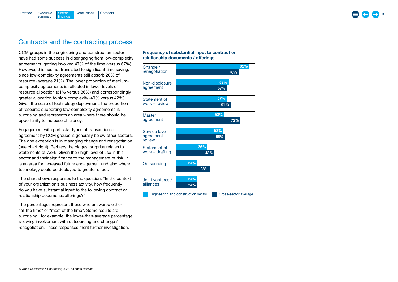#### [Executive](#page-2-0) Sector [Conclusions](#page-16-0) [Contacts](#page-17-0) summary **Sector** findings [Preface](#page-1-0)

## Contracts and the contracting process

CCM groups in the engineering and construction sector have had some success in disengaging from low-complexity agreements, getting involved 47% of the time (versus 67%). However, this has not translated to significant time saving, since low-complexity agreements still absorb 20% of resource (average 21%). The lower proportion of mediumcomplexity agreements is reflected in lower levels of resource allocation (31% versus 36%) and correspondingly greater allocation to high-complexity (49% versus 42%). Given the scale of technology deployment, the proportion of resource supporting low-complexity agreements is surprising and represents an area where there should be opportunity to increase efficiency.

Engagement with particular types of transaction or agreement by CCM groups is generally below other sectors. The one exception is in managing change and renegotiation (see chart right). Perhaps the biggest surprise relates to Statements of Work. Given their high level of use in this sector and their significance to the management of risk, it is an area for increased future engagement and also where technology could be deployed to greater effect.

The chart shows responses to the question: "In the context of your organization's business activity, how frequently do you have substantial input to the following contract or relationship documents/offerings?"

The percentages represent those who answered either "all the time" or "most of the time". Some results are surprising, for example, the lower-than-average percentage showing involvement with outsourcing and change / renegotiation. These responses merit further investigation.

## Frequency of substantial input to contract or relationship documents / offerings

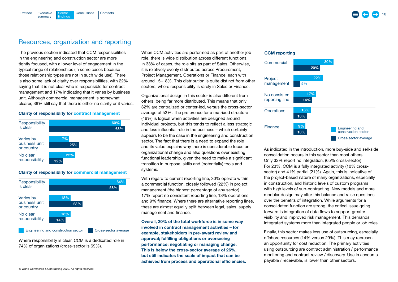# Resources, organization and reporting

[Executive](#page-2-0) Sector [Conclusions](#page-16-0) [Contacts](#page-17-0)

Sector findings

summary

<span id="page-9-0"></span>[Preface](#page-1-0)

The previous section indicated that CCM responsibilities in the engineering and construction sector are more tightly focused, with a lower level of engagement in the typical range of relationships (in some cases because those relationship types are not in such wide use). There is also some lack of clarity over responsibilities, with 22% saying that it is not clear who is responsible for contract management and 17% indicating that it varies by business unit. Although commercial management is somewhat clearer, 36% still say that there is either no clarity or it varies.

#### Clarity of responsiblity for contract management



### Clarity of responsiblity for commercial management



Where responsibility is clear, CCM is a dedicated role in 74% of organizations (cross-sector is 69%).

When CCM activities are performed as part of another job role, there is wide distribution across different functions. In 33% of cases, the role sits as part of Sales. Otherwise, it is relatively evenly distributed across Procurement, Project Management, Operations or Finance, each with around 15–18%. This distribution is quite distinct from other sectors, where responsibility is rarely in Sales or Finance.

Organizational design in this sector is also different from others, being far more distributed. This means that only 32% are centralized or center-led, versus the cross-sector average of 52%. The preference for a matrixed structure (46%) is logical when activities are designed around individual projects, but this tends to reflect a less strategic and less influential role in the business – which certainly appears to be the case in the engineering and construction sector. The fact that there is a need to expand the role and its value explains why there is considerable focus on organizational change and also questions over existing functional leadership, given the need to make a significant transition in purpose, skills and (potentially) tools and systems.

With regard to current reporting line, 30% operate within a commercial function, closely followed (22%) in project management (the highest percentage of any sector). 17% report no consistent reporting line, 13% operations and 9% finance. Where there are alternative reporting lines, these are almost equally split between legal, sales, supply management and finance.

Overall, 20% of the total workforce is in some way involved in contract management activities – for example, stakeholders in pre-award review and approval; fulfilling obligations or overseeing performance; negotiating or managing change. This is below the cross-sector average of 26%, but still indicates the scale of impact that can be achieved from process and operational efficiencies.

## CCM reporting



As indicated in the introduction, more buy-side and sell-side consolidation occurs in this sector than most others. Only 32% report no integration, (65% cross-sector). For 23%, CCM is a fully integrated activity (10% crosssector) and 41% partial (21%). Again, this is indicative of the project-based nature of many organizations, especially in construction, and historic levels of custom programs with high levels of sub-contracting. New models and more modular design may alter this balance and raise questions over the benefits of integration. While arguments for a consolidated function are strong, the critical issue going forward is integration of data flows to support greater visibility and improved risk management. This demands integrated systems more than integrated people or job roles.

Finally, this sector makes less use of outsourcing, especially offshore resources (14% versus 29%). This may represent an opportunity for cost reduction. The primary activities using outsourcing are contract administration / performance monitoring and contract review / discovery. Use in accounts payable / receivable, is lower than other sectors.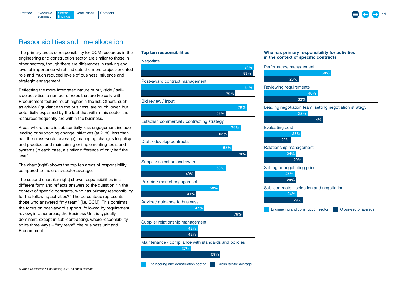<span id="page-10-0"></span>



## Responsibilities and time allocation

The primary areas of responsibility for CCM resources in the engineering and construction sector are similar to those in other sectors, though there are differences in ranking and level of importance which indicate the more project-oriented role and much reduced levels of business influence and strategic engagement.

Reflecting the more integrated nature of buy-side / sellside activities, a number of roles that are typically within Procurement feature much higher in the list. Others, such as advice / guidance to the business, are much lower, but potentially explained by the fact that within this sector the resources frequently are within the business.

Areas where there is substantially less engagement include leading or supporting change initiatives (at 21%, less than half the cross-sector average), managing changes to policy and practice, and maintaining or implementing tools and systems (in each case, a similar difference of only half the level).

The chart (right) shows the top ten areas of responsibility, compared to the cross-sector average.

The second chart (far right) shows responsibilities in a different form and reflects answers to the question "In the context of specific contracts, who has primary responsibility for the following activities?" The percentage represents those who answered "my team" (i.e. CCM). This confirms the focus on post-award support, followed by requirement review; in other areas, the Business Unit is typically dominant, except in sub-contracting, where responsibility splits three ways – "my team", the business unit and Procurement.

### Top ten responsibilities



#### Who has primary responsibility for activities in the context of specific contracts

| 50%                                                    |
|--------------------------------------------------------|
| 26%                                                    |
| Reviewing requirements                                 |
| 40%                                                    |
| 32%                                                    |
| Leading negotiation team, setting negotiation strategy |
| 32%                                                    |
| 44%                                                    |
| <b>Evaluating cost</b>                                 |
| 28%                                                    |
| 20%                                                    |
| Relationship management                                |
| 24%                                                    |
| 29%                                                    |
| Setting or negotiating price                           |
| 23%                                                    |
| 24%                                                    |
| Sub-contracts - selection and negotiation              |
| 24%                                                    |
| 29%                                                    |
|                                                        |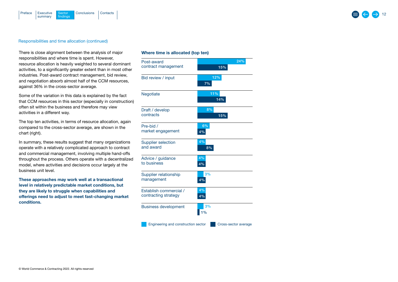

### Responsibilities and time allocation (continued)

There is close alignment between the analysis of major responsibilities and where time is spent. However, resource allocation is heavily weighted to several dominant activities, to a significantly greater extent than in most other industries. Post-award contract management, bid review, and negotiation absorb almost half of the CCM resources, against 36% in the cross-sector average.

Some of the variation in this data is explained by the fact that CCM resources in this sector (especially in construction) often sit within the business and therefore may view activities in a different way.

The top ten activities, in terms of resource allocation, again compared to the cross-sector average, are shown in the chart (right).

In summary, these results suggest that many organizations operate with a relatively complicated approach to contract and commercial management, involving multiple hand-offs throughout the process. Others operate with a decentralized model, where activities and decisions occur largely at the business unit level.

These approaches may work well at a transactional level in relatively predictable market conditions, but they are likely to struggle when capabilities and offerings need to adjust to meet fast-changing market conditions.

## Whe re time is allocated (top ten)

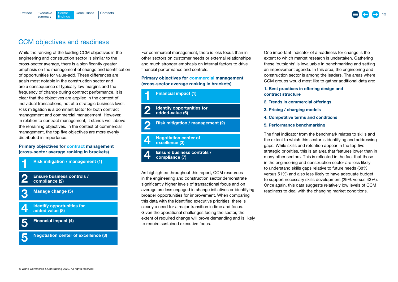## CCM objectives and readiness

Sector findings

summary

<span id="page-12-0"></span>[Preface](#page-1-0)

[Executive](#page-2-0) Sector [Conclusions](#page-16-0) [Contacts](#page-17-0)

While the ranking of the leading CCM objectives in the engineering and construction sector is similar to the cross-sector average, there is a significantly greater emphasis on the management of change and identification of opportunities for value-add. These differences are again most notable in the construction sector and are a consequence of typically low margins and the frequency of change during contract performance. It is frequency of change during contract performance. It i<br>clear that the objectives are applied in the context of individual transactions, not at a strategic business level. Risk mitigation is a dominant factor for both contract management and commercial management. However,<br>
management and commercial management. However, in relation to contract management, it stands well above in relation to contract management, it stands well above<br>the remaining objectives. In the context of commercial<br>management, the tan five objectives are mare availy. management, the top five objectives are more evenly distributed in importance.<br>Primory objectives for contract man

## Primary objectives for contract management



For commercial management, there is less focus than in other sectors on customer needs or external relationships and much stronger emphasis on internal factors to drive financial performance and controls.

## Primary objectives for commercial management (cross-sector average ranking in brackets)



**22** 

As highlighted throughout this report, CCM resources in the engineering and construction sector demonstrate significantly higher levels of transactional focus and on average are less engaged in change initiatives or identifying broader opportunities for improvement. When comparing this data with the identified executive priorities, there is clearly a need for a major transition in time and focus. Given the operational challenges facing the sector, the extent of required change will prove demanding and is likely extern or required enarge will prove a<br>to require sustained executive focus. addedigmooning a<br>with conthistiche cul require sustaine

One important indicator of a readiness for change is the extent to which market research is undertaken. Gathering these 'outsights' is invaluable in benchmarking and setting an improvement agenda. In this area, the engineering and construction sector is among the leaders. The areas where CCM groups would most like to gather additional data are:

1. Best practices in offering design and contract structure

- 2. Trends in commercial offerings
- 3. Pricing / charging models
- 4. Competitive terms and conditions
- 5. Performance benchmarking

The final indicator from the benchmark relates to skills and the extent to which this sector is identifying and addressing gaps. While skills and retention appear in the top five strategic priorities, this is an area that features lower than in many other sectors. This is reflected in the fact that those in the engineering and construction sector are less likely to understand skills gaps relative to future needs (38% versus 51%) and also less likely to have adequate budget to support necessary skills development (29% versus 43%). Once again, this data suggests relatively low levels of CCM readiness to deal with the changing market conditions.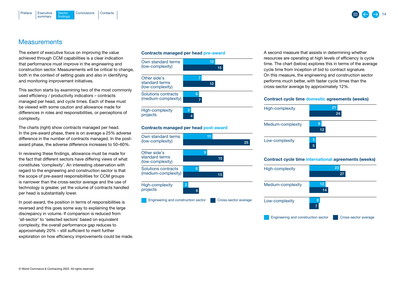<span id="page-13-0"></span>



## **Measurements**

The extent of executive focus on improving the value achieved through CCM capabilities is a clear indication that performance must improve in the engineering and construction sector. Measurements will be critical to change, both in the context of setting goals and also in identifying and monitoring improvement initiatives.

This section starts by examining two of the most commonly used efficiency / productivity indicators – contracts managed per head, and cycle times. Each of these must be viewed with some caution and allowance made for differences in roles and responsibilities, or perceptions of complexity.

The charts (right) show contracts managed per head. In the pre-award phase, there is on average a 25% adverse difference in the number of contracts managed. In the postaward phase, the adverse difference increases to 50–60%.

In reviewing these findings, allowance must be made for the fact that different sectors have differing views of what constitutes 'complexity'. An interesting observation with regard to the engineering and construction sector is that the scope of pre-award responsibilities for CCM groups is narrower than the cross-sector average and the use of technology is greater, yet the volume of contracts handled per head is substantially lower.

In post-award, the position in terms of responsibilities is reversed and this goes some way to explaining the large discrepancy in volume. If comparison is reduced from 'all-sector' to 'selected sectors' based on equivalent complexity, the overall performance gap reduces to approximately 20% – still sufficient to merit further exploration on how efficiency improvements could be made.

#### Contracts managed per head pre-award



### Contracts managed per head post-award



A second measure that assists in determining whether resources are operating at high levels of efficiency is cycle time. The chart (below) explores this in terms of the average cycle time from inception of bid to contract signature. On this measure, the engineering and construction sector performs much better, with faster cycle times than the cross-sector average by approximately 12%.

## Contract cycle time domestic agreements (weeks)



### Contract cycle time international agreements (weeks)

| High-complexity                     |         | 23                   |  |
|-------------------------------------|---------|----------------------|--|
|                                     |         | 27                   |  |
| Medium-complexity                   | 12      |                      |  |
|                                     | 14      |                      |  |
| Low-complexity                      | 8<br>7. |                      |  |
| Engineering and construction sector |         | Cross-sector average |  |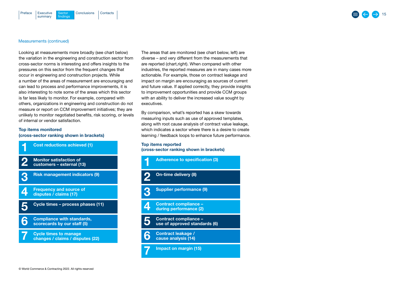#### Measurements (continued)

Looking at measurements more broadly (see chart below) the variation in the engineering and construction sector from cross-sector norms is interesting and offers insights to the pressures on this sector from the frequent changes that occur in engineering and construction projects. While a number of the areas of measurement are encouraging and can lead to process and performance improvements, it is also interesting to note some of the areas which this sector is far less likely to monitor. For example, compared with others, organizations in engineering and construction do not measure or report on CCM improvement initiatives; they are unlikely to monitor negotiated benefits, risk scoring, or levels of internal or vendor satisfaction.

## Top items monitored (cross-sector ranking shown in brackets)



**Monitor satisfaction of the cost of the cost of the cost of the cost of the cost** Monitor satisfaction of<br>customers – external (13) 2

Risk management indicators <mark>(9)</mark><br>' 3

Frequency and source of **contact management in**<br>disputes / claims (17) disputes / claims (17) 4

Cycle times – process phases (11<mark>)</mark><br> 5

**6** Compliance with standards,<br>scorecards by our staff (5) Compliance with standards,

**7** Cycle times to manage<br> **7** changes / claims / disputes (22)

The areas that are monitored (see chart below, left) are diverse – and very different from the measurements that are reported (chart,right). When compared with other industries, the reported measures are in many cases more actionable. For example, those on contract leakage and impact on margin are encouraging as sources of current and future value. If applied correctly, they provide insights to improvement opportunities and provide CCM groups with an ability to deliver the increased value sought by executives.

By comparison, what's reported has a skew towards measuring inputs such as use of approved templates, along with root cause analysis of contract value leakage, which indicates a sector where there is a desire to create learning / feedback loops to enhance future performance.

## Top items reported

(cross-sector ranking shown in brackets)

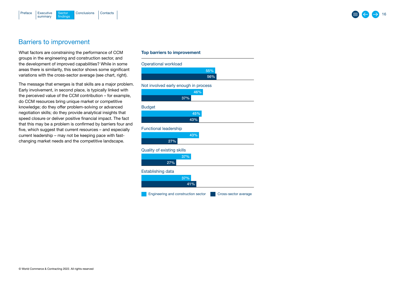<span id="page-15-0"></span>

## Barriers to improvement

What factors are constraining the performance of CCM groups in the engineering and construction sector, and the development of improved capabilities? While in some areas there is similarity, this sector shows some significant variations with the cross-sector average (see chart, right).

The message that emerges is that skills are a major problem. Early involvement, in second place, is typically linked with the perceived value of the CCM contribution – for example, do CCM resources bring unique market or competitive knowledge; do they offer problem-solving or advanced negotiation skills; do they provide analytical insights that speed closure or deliver positive financial impact. The fact that this may be a problem is confirmed by barriers four and five, which suggest that current resources – and especially current leadership – may not be keeping pace with fastchanging market needs and the competitive landscape.

## Top barriers to improvement

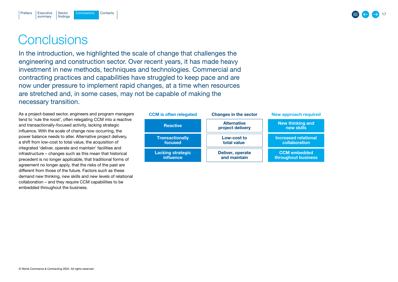

## <span id="page-16-0"></span>**Conclusions**

In the introduction, we highlighted the scale of change that challenges the engineering and construction sector. Over recent years, it has made heavy investment in new methods, techniques and technologies. Commercial and contracting practices and capabilities have struggled to keep pace and are now under pressure to implement rapid changes, at a time when resources are stretched and, in some cases, may not be capable of making the necessary transition.

As a project-based sector, engineers and program managers tend to 'rule the roost', often relegating CCM into a reactive and transactionally-focused activity, lacking strategic influence. With the scale of change now occurring, the power balance needs to alter. Alternative project delivery, a shift from low-cost to total value, the acquisition of integrated 'deliver, operate and maintain' facilities and infrastructure – changes such as this mean that historical precedent is no longer applicable, that traditional forms of agreement no longer apply, that the risks of the past are different from those of the future. Factors such as these demand new thinking, new skills and new levels of relational collaboration – and they require CCM capabilities to be embedded throughout the business.